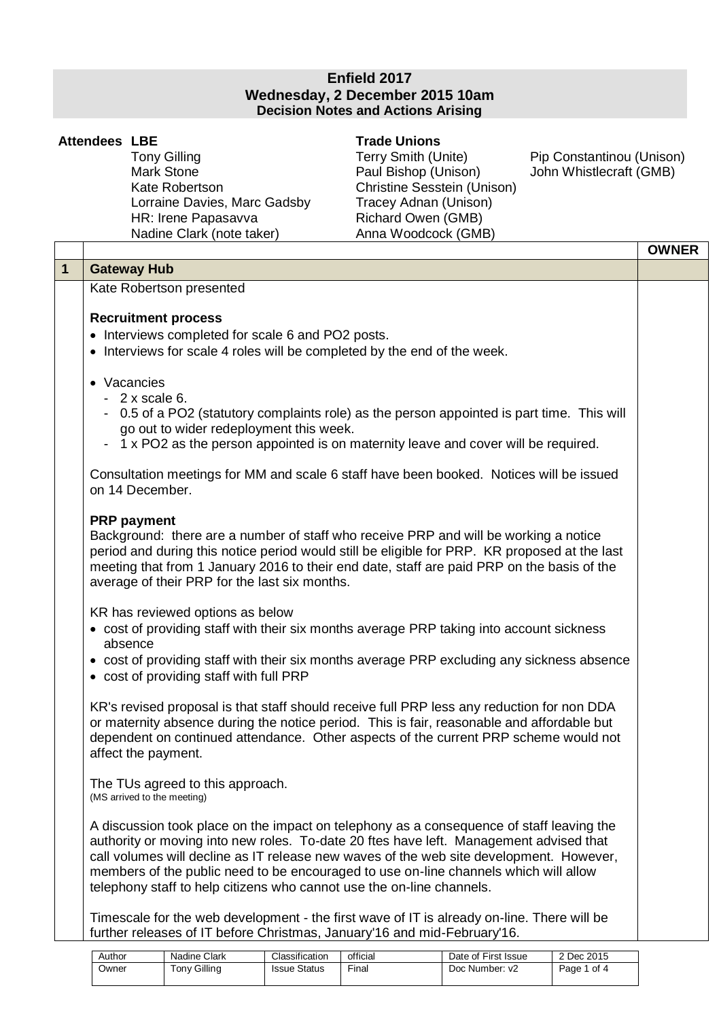## **Enfield 2017 Wednesday, 2 December 2015 10am Decision Notes and Actions Arising**

|              | <b>Attendees LBE</b> | <b>Tony Gilling</b><br><b>Mark Stone</b><br>Kate Robertson<br>Lorraine Davies, Marc Gadsby<br>HR: Irene Papasavva<br>Nadine Clark (note taker)                                                                                                                                                                                                                                                                                                                                                                                                                                                                                                                                                                                                                                                                                                                                                                                                                           | <b>Trade Unions</b><br>Terry Smith (Unite)<br>Paul Bishop (Unison)<br>Christine Sesstein (Unison)<br>Tracey Adnan (Unison)<br>Richard Owen (GMB)<br>Anna Woodcock (GMB) | Pip Constantinou (Unison)<br>John Whistlecraft (GMB) |              |
|--------------|----------------------|--------------------------------------------------------------------------------------------------------------------------------------------------------------------------------------------------------------------------------------------------------------------------------------------------------------------------------------------------------------------------------------------------------------------------------------------------------------------------------------------------------------------------------------------------------------------------------------------------------------------------------------------------------------------------------------------------------------------------------------------------------------------------------------------------------------------------------------------------------------------------------------------------------------------------------------------------------------------------|-------------------------------------------------------------------------------------------------------------------------------------------------------------------------|------------------------------------------------------|--------------|
|              |                      |                                                                                                                                                                                                                                                                                                                                                                                                                                                                                                                                                                                                                                                                                                                                                                                                                                                                                                                                                                          |                                                                                                                                                                         |                                                      | <b>OWNER</b> |
| $\mathbf{1}$ |                      | <b>Gateway Hub</b>                                                                                                                                                                                                                                                                                                                                                                                                                                                                                                                                                                                                                                                                                                                                                                                                                                                                                                                                                       |                                                                                                                                                                         |                                                      |              |
|              |                      | Kate Robertson presented<br><b>Recruitment process</b><br>• Interviews completed for scale 6 and PO2 posts.<br>• Interviews for scale 4 roles will be completed by the end of the week.<br>• Vacancies<br>$-2x$ scale 6.<br>- 0.5 of a PO2 (statutory complaints role) as the person appointed is part time. This will<br>go out to wider redeployment this week.<br>- 1 x PO2 as the person appointed is on maternity leave and cover will be required.<br>Consultation meetings for MM and scale 6 staff have been booked. Notices will be issued<br>on 14 December.<br><b>PRP</b> payment<br>Background: there are a number of staff who receive PRP and will be working a notice<br>period and during this notice period would still be eligible for PRP. KR proposed at the last<br>meeting that from 1 January 2016 to their end date, staff are paid PRP on the basis of the<br>average of their PRP for the last six months.<br>KR has reviewed options as below |                                                                                                                                                                         |                                                      |              |

- cost of providing staff with their six months average PRP taking into account sickness absence
- cost of providing staff with their six months average PRP excluding any sickness absence
- cost of providing staff with full PRP

KR's revised proposal is that staff should receive full PRP less any reduction for non DDA or maternity absence during the notice period. This is fair, reasonable and affordable but dependent on continued attendance. Other aspects of the current PRP scheme would not affect the payment.

The TUs agreed to this approach. (MS arrived to the meeting)

A discussion took place on the impact on telephony as a consequence of staff leaving the authority or moving into new roles. To-date 20 ftes have left. Management advised that call volumes will decline as IT release new waves of the web site development. However, members of the public need to be encouraged to use on-line channels which will allow telephony staff to help citizens who cannot use the on-line channels.

Timescale for the web development - the first wave of IT is already on-line. There will be further releases of IT before Christmas, January'16 and mid-February'16.

| Author | Nadine Clark   | Classification      | official | Date of First Issue | 2 Dec 2015   |
|--------|----------------|---------------------|----------|---------------------|--------------|
| Owner  | Gillina<br>onv | <b>Issue Status</b> | $r$ inal | Doc Number: y2      | of 4<br>Page |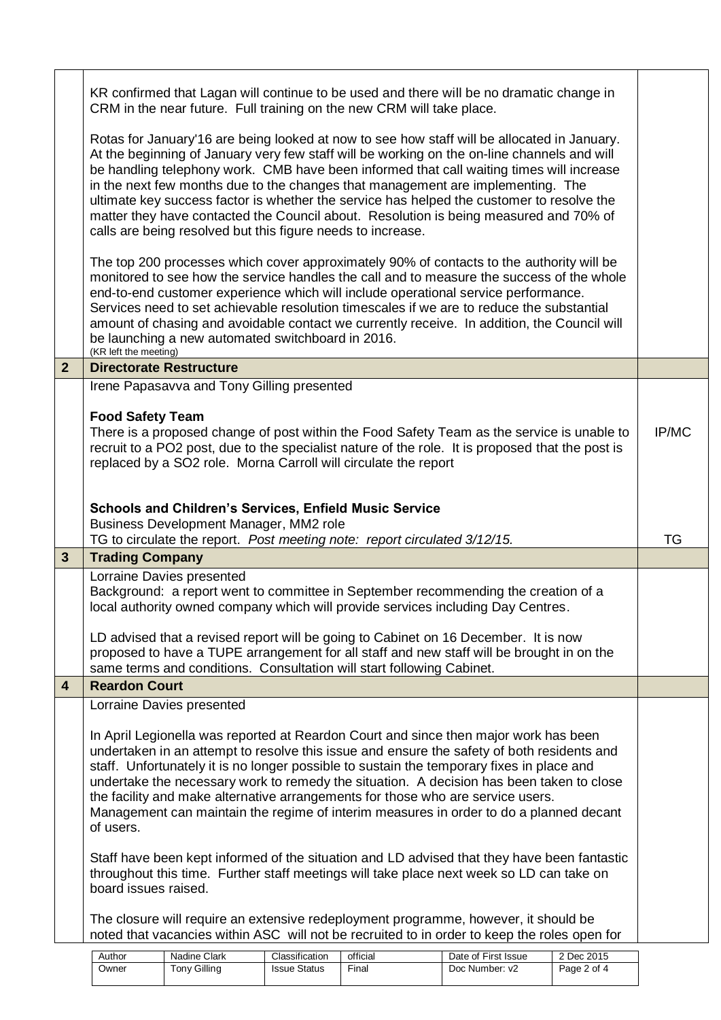|                | KR confirmed that Lagan will continue to be used and there will be no dramatic change in<br>CRM in the near future. Full training on the new CRM will take place.                                                                                                                                                                                                                                                                                                                                                                                                                                                              |           |  |  |  |  |  |
|----------------|--------------------------------------------------------------------------------------------------------------------------------------------------------------------------------------------------------------------------------------------------------------------------------------------------------------------------------------------------------------------------------------------------------------------------------------------------------------------------------------------------------------------------------------------------------------------------------------------------------------------------------|-----------|--|--|--|--|--|
|                | Rotas for January'16 are being looked at now to see how staff will be allocated in January.<br>At the beginning of January very few staff will be working on the on-line channels and will<br>be handling telephony work. CMB have been informed that call waiting times will increase<br>in the next few months due to the changes that management are implementing. The<br>ultimate key success factor is whether the service has helped the customer to resolve the<br>matter they have contacted the Council about. Resolution is being measured and 70% of<br>calls are being resolved but this figure needs to increase. |           |  |  |  |  |  |
|                | The top 200 processes which cover approximately 90% of contacts to the authority will be<br>monitored to see how the service handles the call and to measure the success of the whole<br>end-to-end customer experience which will include operational service performance.<br>Services need to set achievable resolution timescales if we are to reduce the substantial<br>amount of chasing and avoidable contact we currently receive. In addition, the Council will<br>be launching a new automated switchboard in 2016.<br>(KR left the meeting)                                                                          |           |  |  |  |  |  |
| 2 <sup>2</sup> | <b>Directorate Restructure</b>                                                                                                                                                                                                                                                                                                                                                                                                                                                                                                                                                                                                 |           |  |  |  |  |  |
|                | Irene Papasavva and Tony Gilling presented                                                                                                                                                                                                                                                                                                                                                                                                                                                                                                                                                                                     |           |  |  |  |  |  |
|                | <b>Food Safety Team</b><br>There is a proposed change of post within the Food Safety Team as the service is unable to<br>recruit to a PO2 post, due to the specialist nature of the role. It is proposed that the post is<br>replaced by a SO2 role. Morna Carroll will circulate the report                                                                                                                                                                                                                                                                                                                                   |           |  |  |  |  |  |
|                |                                                                                                                                                                                                                                                                                                                                                                                                                                                                                                                                                                                                                                |           |  |  |  |  |  |
|                | <b>Schools and Children's Services, Enfield Music Service</b><br>Business Development Manager, MM2 role                                                                                                                                                                                                                                                                                                                                                                                                                                                                                                                        |           |  |  |  |  |  |
|                | TG to circulate the report. Post meeting note: report circulated 3/12/15.                                                                                                                                                                                                                                                                                                                                                                                                                                                                                                                                                      |           |  |  |  |  |  |
|                |                                                                                                                                                                                                                                                                                                                                                                                                                                                                                                                                                                                                                                | <b>TG</b> |  |  |  |  |  |
| $\mathbf{3}$   | <b>Trading Company</b>                                                                                                                                                                                                                                                                                                                                                                                                                                                                                                                                                                                                         |           |  |  |  |  |  |
|                | Lorraine Davies presented<br>Background: a report went to committee in September recommending the creation of a<br>local authority owned company which will provide services including Day Centres.                                                                                                                                                                                                                                                                                                                                                                                                                            |           |  |  |  |  |  |
|                | LD advised that a revised report will be going to Cabinet on 16 December. It is now<br>proposed to have a TUPE arrangement for all staff and new staff will be brought in on the<br>same terms and conditions. Consultation will start following Cabinet.                                                                                                                                                                                                                                                                                                                                                                      |           |  |  |  |  |  |
| 4              | <b>Reardon Court</b>                                                                                                                                                                                                                                                                                                                                                                                                                                                                                                                                                                                                           |           |  |  |  |  |  |
|                | Lorraine Davies presented                                                                                                                                                                                                                                                                                                                                                                                                                                                                                                                                                                                                      |           |  |  |  |  |  |
|                | In April Legionella was reported at Reardon Court and since then major work has been<br>undertaken in an attempt to resolve this issue and ensure the safety of both residents and<br>staff. Unfortunately it is no longer possible to sustain the temporary fixes in place and<br>undertake the necessary work to remedy the situation. A decision has been taken to close<br>the facility and make alternative arrangements for those who are service users.<br>Management can maintain the regime of interim measures in order to do a planned decant<br>of users.                                                          |           |  |  |  |  |  |
|                | Staff have been kept informed of the situation and LD advised that they have been fantastic<br>throughout this time. Further staff meetings will take place next week so LD can take on<br>board issues raised.                                                                                                                                                                                                                                                                                                                                                                                                                |           |  |  |  |  |  |
|                | The closure will require an extensive redeployment programme, however, it should be<br>noted that vacancies within ASC will not be recruited to in order to keep the roles open for                                                                                                                                                                                                                                                                                                                                                                                                                                            |           |  |  |  |  |  |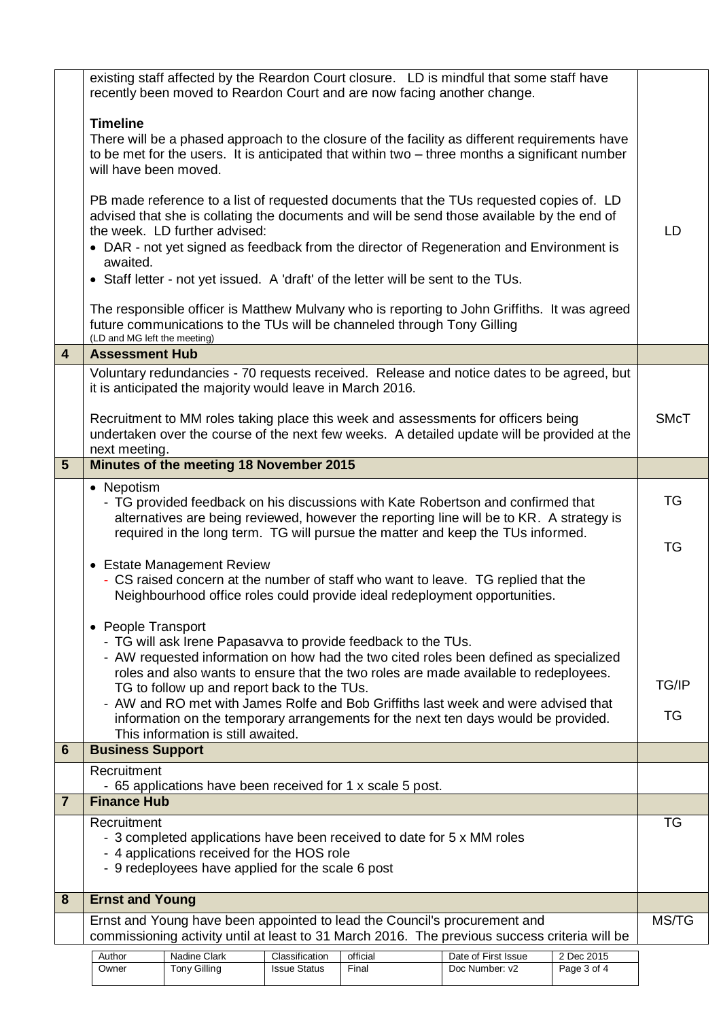|                | existing staff affected by the Reardon Court closure. LD is mindful that some staff have<br>recently been moved to Reardon Court and are now facing another change.                                                                                                                                                                                                                                                                                                                                                                                                                                                                                                                                                                                                                                                                          |                                                           |                     |          |                                                                                                                                                                                  |             |             |
|----------------|----------------------------------------------------------------------------------------------------------------------------------------------------------------------------------------------------------------------------------------------------------------------------------------------------------------------------------------------------------------------------------------------------------------------------------------------------------------------------------------------------------------------------------------------------------------------------------------------------------------------------------------------------------------------------------------------------------------------------------------------------------------------------------------------------------------------------------------------|-----------------------------------------------------------|---------------------|----------|----------------------------------------------------------------------------------------------------------------------------------------------------------------------------------|-------------|-------------|
|                | <b>Timeline</b><br>There will be a phased approach to the closure of the facility as different requirements have<br>to be met for the users. It is anticipated that within two – three months a significant number<br>will have been moved.<br>PB made reference to a list of requested documents that the TUs requested copies of. LD<br>advised that she is collating the documents and will be send those available by the end of<br>the week. LD further advised:<br>• DAR - not yet signed as feedback from the director of Regeneration and Environment is<br>awaited.<br>• Staff letter - not yet issued. A 'draft' of the letter will be sent to the TUs.<br>The responsible officer is Matthew Mulvany who is reporting to John Griffiths. It was agreed<br>future communications to the TUs will be channeled through Tony Gilling |                                                           |                     |          |                                                                                                                                                                                  |             |             |
|                | (LD and MG left the meeting)                                                                                                                                                                                                                                                                                                                                                                                                                                                                                                                                                                                                                                                                                                                                                                                                                 |                                                           |                     |          |                                                                                                                                                                                  |             |             |
| 4              | <b>Assessment Hub</b>                                                                                                                                                                                                                                                                                                                                                                                                                                                                                                                                                                                                                                                                                                                                                                                                                        |                                                           |                     |          |                                                                                                                                                                                  |             |             |
|                |                                                                                                                                                                                                                                                                                                                                                                                                                                                                                                                                                                                                                                                                                                                                                                                                                                              | it is anticipated the majority would leave in March 2016. |                     |          | Voluntary redundancies - 70 requests received. Release and notice dates to be agreed, but                                                                                        |             |             |
|                | next meeting.                                                                                                                                                                                                                                                                                                                                                                                                                                                                                                                                                                                                                                                                                                                                                                                                                                |                                                           |                     |          | Recruitment to MM roles taking place this week and assessments for officers being<br>undertaken over the course of the next few weeks. A detailed update will be provided at the |             | <b>SMcT</b> |
| $5\phantom{1}$ | Minutes of the meeting 18 November 2015                                                                                                                                                                                                                                                                                                                                                                                                                                                                                                                                                                                                                                                                                                                                                                                                      |                                                           |                     |          |                                                                                                                                                                                  |             |             |
|                | • Nepotism<br>- TG provided feedback on his discussions with Kate Robertson and confirmed that<br>alternatives are being reviewed, however the reporting line will be to KR. A strategy is<br>required in the long term. TG will pursue the matter and keep the TUs informed.                                                                                                                                                                                                                                                                                                                                                                                                                                                                                                                                                                |                                                           |                     |          |                                                                                                                                                                                  |             | TG<br>TG    |
|                | • Estate Management Review<br>- CS raised concern at the number of staff who want to leave. TG replied that the<br>Neighbourhood office roles could provide ideal redeployment opportunities.                                                                                                                                                                                                                                                                                                                                                                                                                                                                                                                                                                                                                                                |                                                           |                     |          |                                                                                                                                                                                  |             |             |
|                | • People Transport<br>- TG will ask Irene Papasavva to provide feedback to the TUs.<br>- AW requested information on how had the two cited roles been defined as specialized<br>roles and also wants to ensure that the two roles are made available to redeployees.<br>TG to follow up and report back to the TUs.<br>- AW and RO met with James Rolfe and Bob Griffiths last week and were advised that<br>information on the temporary arrangements for the next ten days would be provided.<br>This information is still awaited.                                                                                                                                                                                                                                                                                                        |                                                           |                     |          |                                                                                                                                                                                  |             |             |
| 6              | <b>Business Support</b>                                                                                                                                                                                                                                                                                                                                                                                                                                                                                                                                                                                                                                                                                                                                                                                                                      |                                                           |                     |          |                                                                                                                                                                                  |             |             |
|                | Recruitment                                                                                                                                                                                                                                                                                                                                                                                                                                                                                                                                                                                                                                                                                                                                                                                                                                  |                                                           |                     |          |                                                                                                                                                                                  |             |             |
| $\overline{7}$ | - 65 applications have been received for 1 x scale 5 post.<br><b>Finance Hub</b>                                                                                                                                                                                                                                                                                                                                                                                                                                                                                                                                                                                                                                                                                                                                                             |                                                           |                     |          |                                                                                                                                                                                  |             |             |
|                | Recruitment<br>- 3 completed applications have been received to date for 5 x MM roles<br>- 4 applications received for the HOS role<br>- 9 redeployees have applied for the scale 6 post                                                                                                                                                                                                                                                                                                                                                                                                                                                                                                                                                                                                                                                     |                                                           |                     |          |                                                                                                                                                                                  |             | TG          |
| 8              | <b>Ernst and Young</b>                                                                                                                                                                                                                                                                                                                                                                                                                                                                                                                                                                                                                                                                                                                                                                                                                       |                                                           |                     |          |                                                                                                                                                                                  |             |             |
|                | Ernst and Young have been appointed to lead the Council's procurement and<br>commissioning activity until at least to 31 March 2016. The previous success criteria will be                                                                                                                                                                                                                                                                                                                                                                                                                                                                                                                                                                                                                                                                   |                                                           |                     |          |                                                                                                                                                                                  |             | MS/TG       |
|                | Author                                                                                                                                                                                                                                                                                                                                                                                                                                                                                                                                                                                                                                                                                                                                                                                                                                       | Nadine Clark                                              | Classification      | official | Date of First Issue                                                                                                                                                              | 2 Dec 2015  |             |
|                | Owner                                                                                                                                                                                                                                                                                                                                                                                                                                                                                                                                                                                                                                                                                                                                                                                                                                        | <b>Tony Gilling</b>                                       | <b>Issue Status</b> | Final    | Doc Number: v2                                                                                                                                                                   | Page 3 of 4 |             |